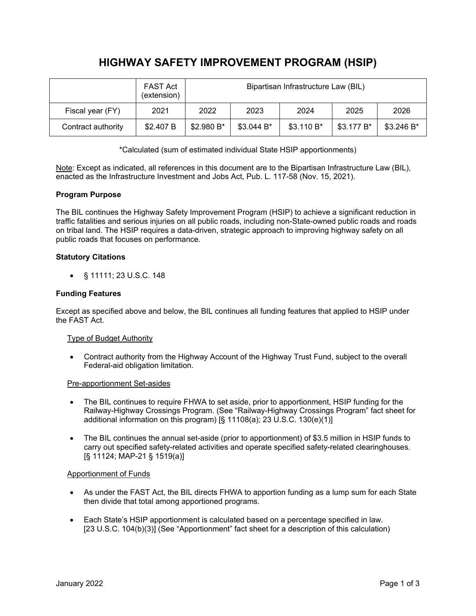# **HIGHWAY SAFETY IMPROVEMENT PROGRAM (HSIP)**

|                    | <b>FAST Act</b><br>(extension) | Bipartisan Infrastructure Law (BIL) |            |            |            |            |
|--------------------|--------------------------------|-------------------------------------|------------|------------|------------|------------|
| Fiscal year (FY)   | 2021                           | 2022                                | 2023       | 2024       | 2025       | 2026       |
| Contract authority | \$2.407 B                      | \$2.980 B*                          | \$3.044 B* | \$3.110 B* | \$3.177 B* | \$3.246 B* |

\*Calculated (sum of estimated individual State HSIP apportionments)

Note: Except as indicated, all references in this document are to the Bipartisan Infrastructure Law (BIL), enacted as the Infrastructure Investment and Jobs Act, Pub. L. 117-58 (Nov. 15, 2021).

## **Program Purpose**

The BIL continues the Highway Safety Improvement Program (HSIP) to achieve a significant reduction in traffic fatalities and serious injuries on all public roads, including non-State-owned public roads and roads on tribal land. The HSIP requires a data-driven, strategic approach to improving highway safety on all public roads that focuses on performance.

## **Statutory Citations**

• § 11111; 23 U.S.C. 148

## **Funding Features**

Except as specified above and below, the BIL continues all funding features that applied to HSIP under the FAST Act.

#### Type of Budget Authority

• Contract authority from the Highway Account of the Highway Trust Fund, subject to the overall Federal-aid obligation limitation.

#### Pre-apportionment Set-asides

- The BIL continues to require FHWA to set aside, prior to apportionment, HSIP funding for the Railway-Highway Crossings Program. (See "Railway-Highway Crossings Program" fact sheet for additional information on this program) [§ 11108(a); 23 U.S.C. 130(e)(1)]
- The BIL continues the annual set-aside (prior to apportionment) of \$3.5 million in HSIP funds to carry out specified safety-related activities and operate specified safety-related clearinghouses. [§ 11124; MAP-21 § 1519(a)]

#### Apportionment of Funds

- As under the FAST Act, the BIL directs FHWA to apportion funding as a lump sum for each State then divide that total among apportioned programs.
- Each State's HSIP apportionment is calculated based on a percentage specified in law. [23 U.S.C. 104(b)(3)] (See "Apportionment" fact sheet for a description of this calculation)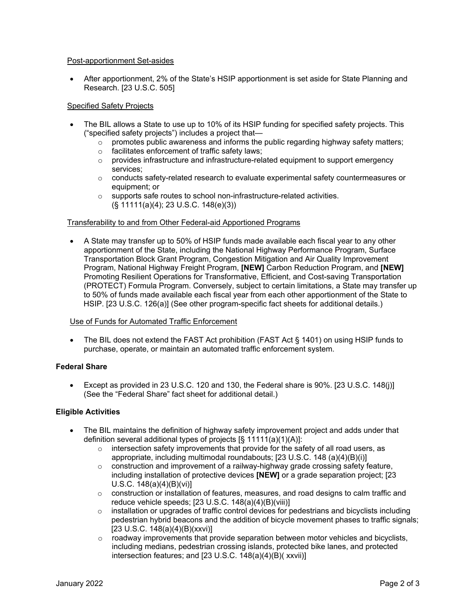#### Post-apportionment Set-asides

• After apportionment, 2% of the State's HSIP apportionment is set aside for State Planning and Research. [23 U.S.C. 505]

#### Specified Safety Projects

- The BIL allows a State to use up to 10% of its HSIP funding for specified safety projects. This ("specified safety projects") includes a project that—
	- $\circ$  promotes public awareness and informs the public regarding highway safety matters;<br>  $\circ$  facilitates enforcement of traffic safety laws;
	- $\circ$  facilitates enforcement of traffic safety laws;<br> $\circ$  provides infrastructure and infrastructure-relation
	- o provides infrastructure and infrastructure-related equipment to support emergency services;
	- $\circ$  conducts safety-related research to evaluate experimental safety countermeasures or equipment; or
	- o supports safe routes to school non-infrastructure-related activities. (§ 11111(a)(4); 23 U.S.C. 148(e)(3))

#### Transferability to and from Other Federal-aid Apportioned Programs

• A State may transfer up to 50% of HSIP funds made available each fiscal year to any other apportionment of the State, including the National Highway Performance Program, Surface Transportation Block Grant Program, Congestion Mitigation and Air Quality Improvement Program, National Highway Freight Program, **[NEW]** Carbon Reduction Program, and **[NEW]** Promoting Resilient Operations for Transformative, Efficient, and Cost-saving Transportation (PROTECT) Formula Program. Conversely, subject to certain limitations, a State may transfer up to 50% of funds made available each fiscal year from each other apportionment of the State to HSIP. [23 U.S.C. 126(a)] (See other program-specific fact sheets for additional details.)

#### Use of Funds for Automated Traffic Enforcement

• The BIL does not extend the FAST Act prohibition (FAST Act § 1401) on using HSIP funds to purchase, operate, or maintain an automated traffic enforcement system.

## **Federal Share**

• Except as provided in 23 U.S.C. 120 and 130, the Federal share is 90%. [23 U.S.C. 148(j)] (See the "Federal Share" fact sheet for additional detail.)

#### **Eligible Activities**

- The BIL maintains the definition of highway safety improvement project and adds under that definition several additional types of projects [§ 11111(a)(1)(A)]:
	- o intersection safety improvements that provide for the safety of all road users, as appropriate, including multimodal roundabouts; [23 U.S.C. 148 (a)(4)(B)(i)]
	- $\circ$  construction and improvement of a railway-highway grade crossing safety feature, including installation of protective devices **[NEW]** or a grade separation project; [23 U.S.C. 148(a)(4)(B)(vi)]
	- $\circ$  construction or installation of features, measures, and road designs to calm traffic and reduce vehicle speeds; [23 U.S.C. 148(a)(4)(B)(viii)]
	- $\circ$  installation or upgrades of traffic control devices for pedestrians and bicyclists including pedestrian hybrid beacons and the addition of bicycle movement phases to traffic signals; [23 U.S.C. 148(a)(4)(B)(xxvi)]
	- $\circ$  roadway improvements that provide separation between motor vehicles and bicyclists, including medians, pedestrian crossing islands, protected bike lanes, and protected intersection features; and [23 U.S.C. 148(a)(4)(B)( xxvii)]